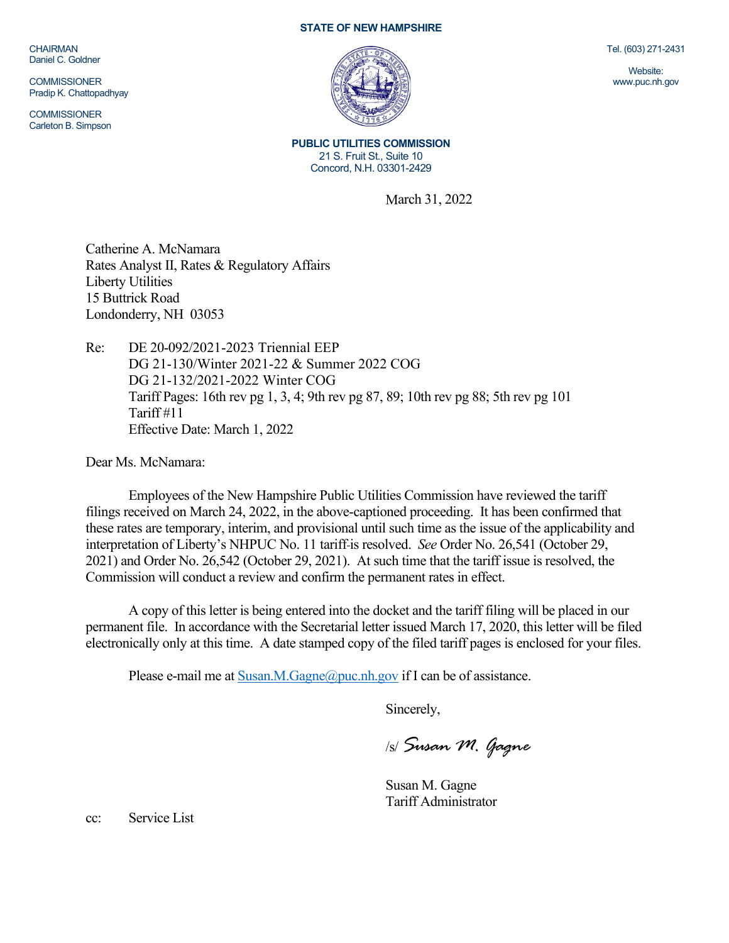CHAIRMAN Daniel C. Goldner

**COMMISSIONER** Pradip K. Chattopadhyay

**COMMISSIONER** Carleton B. Simpson

## **STATE OF NEW HAMPSHIRE**



**PUBLIC UTILITIES COMMISSION** 21 S. Fruit St., Suite 10 Concord, N.H. 03301-2429

March 31, 2022

Catherine A. McNamara Rates Analyst II, Rates & Regulatory Affairs Liberty Utilities 15 Buttrick Road Londonderry, NH 03053

Re: DE 20-092/2021-2023 Triennial EEP DG 21-130/Winter 2021-22 & Summer 2022 COG DG 21-132/2021-2022 Winter COG Tariff Pages: 16th rev pg 1, 3, 4; 9th rev pg 87, 89; 10th rev pg 88; 5th rev pg 101 Tariff #11 Effective Date: March 1, 2022

Dear Ms. McNamara:

Employees of the New Hampshire Public Utilities Commission have reviewed the tariff filings received on March 24, 2022, in the above-captioned proceeding. It has been confirmed that these rates are temporary, interim, and provisional until such time as the issue of the applicability and interpretation of Liberty's NHPUC No. 11 tariff is resolved. *See* Order No. 26,541 (October 29, 2021) and Order No. 26,542 (October 29, 2021). At such time that the tariff issue is resolved, the Commission will conduct a review and confirm the permanent rates in effect.

A copy of this letter is being entered into the docket and the tariff filing will be placed in our permanent file. In accordance with the Secretarial letter issued March 17, 2020, this letter will be filed electronically only at this time. A date stamped copy of the filed tariff pages is enclosed for your files.

Please e-mail me a[t Susan.M.Gagne@puc.nh.gov](mailto:Susan.M.Gagne@puc.nh.gov) if I can be of assistance.

Sincerely,

/s/ *Susan M. Gagne*

Susan M. Gagne Tariff Administrator

cc: Service List

Tel. (603) 271-2431

Website: www.puc.nh.gov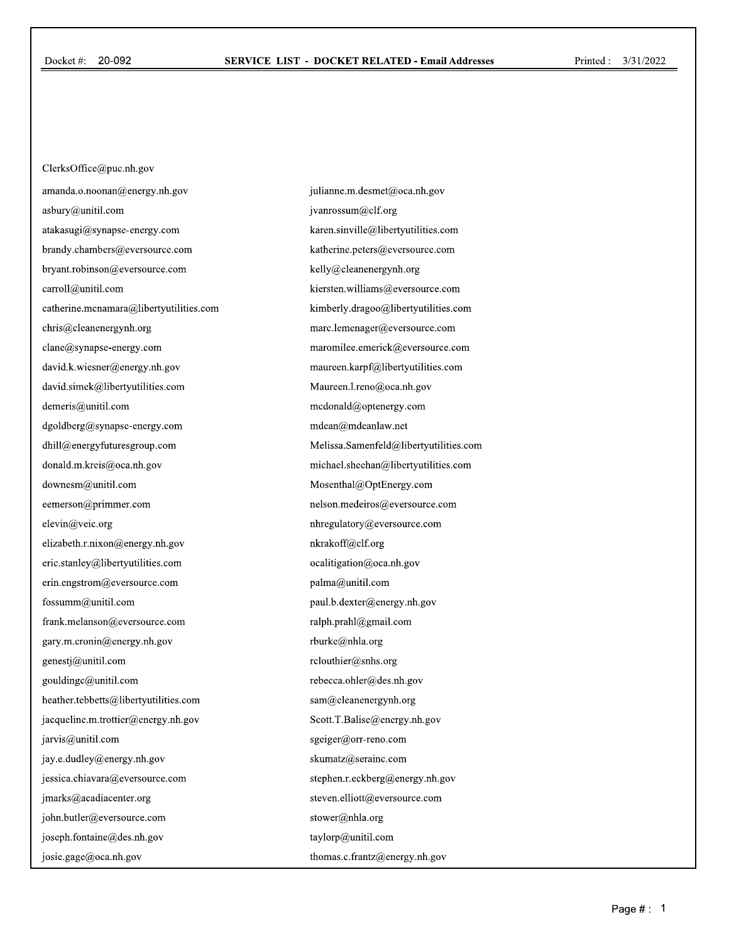ClerksOffice@puc.nh.gov amanda.o.noonan@energy.nh.gov asbury@unitil.com atakasugi@synapse-energy.com brandy.chambers@eversource.com bryant.robinson@eversource.com carroll@unitil.com catherine.mcnamara@libertyutilities.com chris@cleanenergynh.org clane@synapse-energy.com david.k.wiesner@energy.nh.gov david.simek@libertyutilities.com demeris@unitil.com dgoldberg@synapse-energy.com dhill@energyfuturesgroup.com donald.m.kreis@oca.nh.gov downesm@unitil.com eemerson@primmer.com elevin@veic.org elizabeth.r.nixon@energy.nh.gov eric.stanley@libertyutilities.com erin.engstrom@eversource.com fossumm@unitil.com frank.melanson@eversource.com gary.m.cronin@energy.nh.gov genestj@unitil.com gouldingc@unitil.com heather.tebbetts@libertyutilities.com jacqueline.m.trottier@energy.nh.gov jarvis@unitil.com jay.e.dudley@energy.nh.gov jessica.chiavara@eversource.com jmarks@acadiacenter.org john.butler@eversource.com joseph.fontaine@des.nh.gov josie.gage@oca.nh.gov

julianne.m.desmet@oca.nh.gov jvanrossum@clf.org karen.sinville@libertyutilities.com katherine.peters@eversource.com kelly@cleanenergynh.org kiersten.williams@eversource.com kimberly.dragoo@libertyutilities.com marc.lemenager@eversource.com maromilee.emerick@eversource.com maureen.karpf@libertyutilities.com Maureen.l.reno@oca.nh.gov mcdonald@optenergy.com mdean@mdeanlaw.net Melissa.Samenfeld@libertyutilities.com michael.sheehan@libertyutilities.com Mosenthal@OptEnergy.com nelson.medeiros@eversource.com nhregulatory@eversource.com nkrakoff@clf.org ocalitigation@oca.nh.gov palma@unitil.com paul.b.dexter@energy.nh.gov ralph.prahl@gmail.com rburke@nhla.org rclouthier@snhs.org rebecca.ohler@des.nh.gov sam@cleanenergynh.org Scott.T.Balise@energy.nh.gov sgeiger@orr-reno.com skumatz@serainc.com stephen.r.eckberg@energy.nh.gov steven.elliott@eversource.com stower@nhla.org taylorp@unitil.com thomas.c.frantz@energy.nh.gov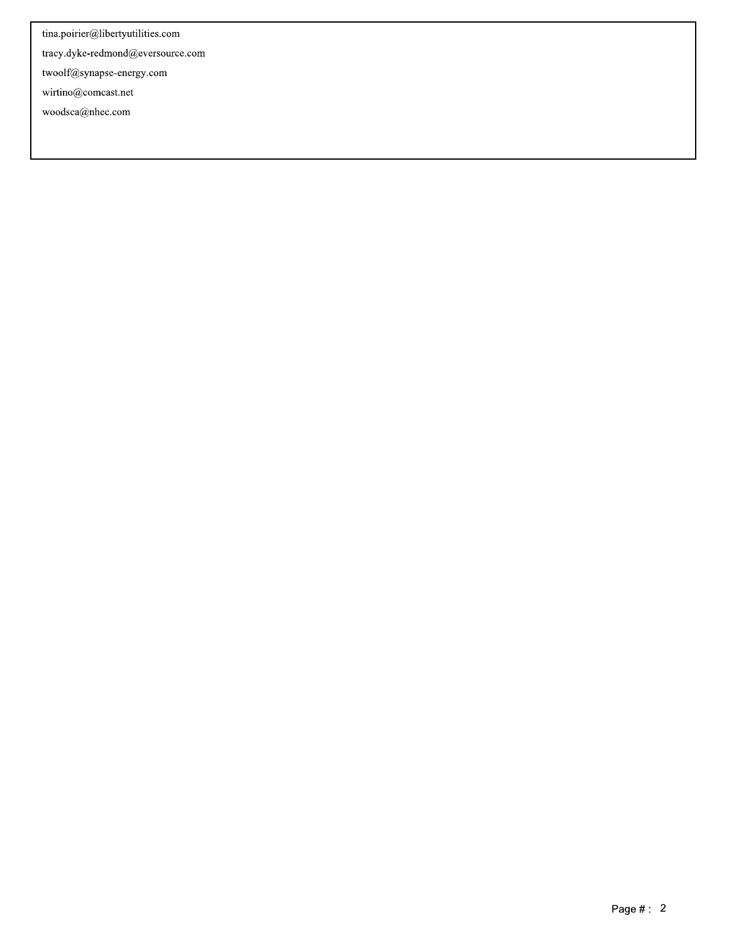tina.poirier@libertyutilities.com

tracy.dyke-redmond@eversource.com

twoolf@synapse-energy.com

 $\mbox{wirtino}\xspace @ \mbox{connect.net}$ 

woodsca@nhec.com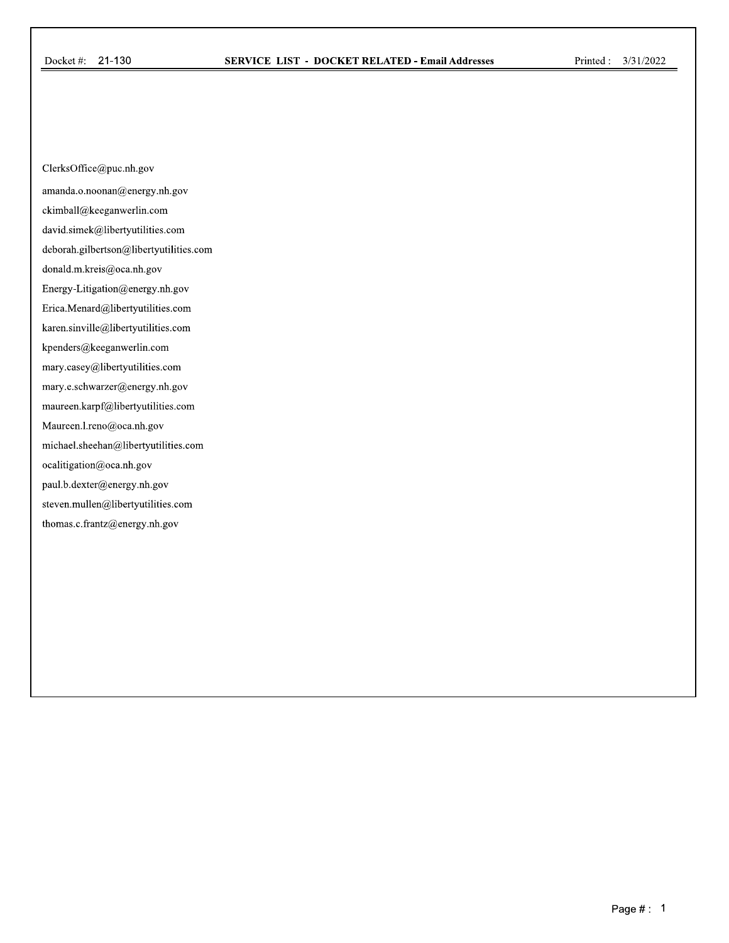ClerksOffice@puc.nh.gov

amanda.o.noonan@energy.nh.gov

ckimball@keeganwerlin.com

david.simek@libertyutilities.com

deborah.gilbertson@libertyutilities.com

donald.m.kreis@oca.nh.gov

Energy-Litigation@energy.nh.gov

Erica.Menard@libertyutilities.com

karen.sinville@libertyutilities.com

kpenders@keeganwerlin.com

mary.casey@libertyutilities.com

mary.e.schwarzer@energy.nh.gov

maureen.karpf@libertyutilities.com

Maureen.l.reno@oca.nh.gov

michael.sheehan@libertyutilities.com

ocalitigation@oca.nh.gov

paul.b.dexter@energy.nh.gov

 $\rm seven.mullen@liberty utilities.com$ 

thomas.c.frantz@energy.nh.gov